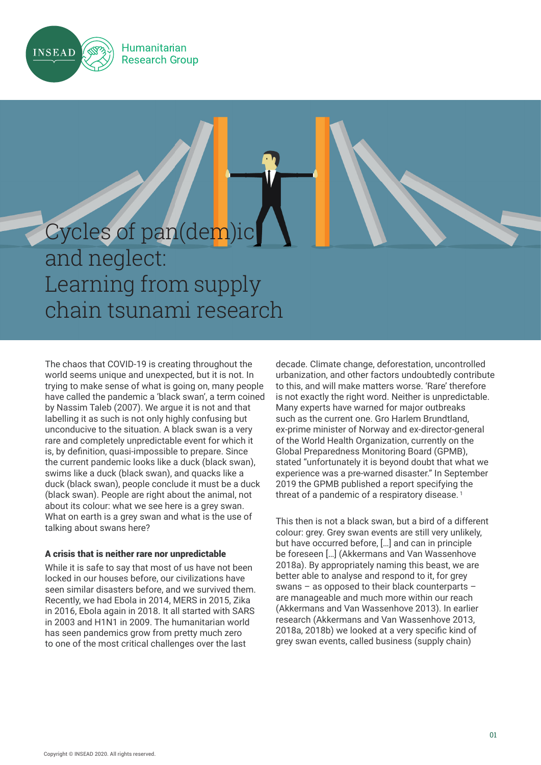

## **Humanitarian Research Group**

# Cycles of pan(dem)ic and neglect: Learning from supply chain tsunami research

The chaos that COVID-19 is creating throughout the world seems unique and unexpected, but it is not. In trying to make sense of what is going on, many people have called the pandemic a 'black swan', a term coined by Nassim Taleb (2007). We argue it is not and that labelling it as such is not only highly confusing but unconducive to the situation. A black swan is a very rare and completely unpredictable event for which it is, by definition, quasi-impossible to prepare. Since the current pandemic looks like a duck (black swan), swims like a duck (black swan), and quacks like a duck (black swan), people conclude it must be a duck (black swan). People are right about the animal, not about its colour: what we see here is a grey swan. What on earth is a grey swan and what is the use of talking about swans here?

# A crisis that is neither rare nor unpredictable

While it is safe to say that most of us have not been locked in our houses before, our civilizations have seen similar disasters before, and we survived them. Recently, we had Ebola in 2014, MERS in 2015, Zika in 2016, Ebola again in 2018. It all started with SARS in 2003 and H1N1 in 2009. The humanitarian world has seen pandemics grow from pretty much zero to one of the most critical challenges over the last

decade. Climate change, deforestation, uncontrolled urbanization, and other factors undoubtedly contribute to this, and will make matters worse. 'Rare' therefore is not exactly the right word. Neither is unpredictable. Many experts have warned for major outbreaks such as the current one. Gro Harlem Brundtland, ex-prime minister of Norway and ex-director-general of the World Health Organization, currently on the Global Preparedness Monitoring Board (GPMB), stated "unfortunately it is beyond doubt that what we experience was a pre-warned disaster." In September 2019 the GPMB published a report specifying the threat of a pandemic of a respiratory disease.<sup>1</sup>

This then is not a black swan, but a bird of a different colour: grey. Grey swan events are still very unlikely, but have occurred before, […] and can in principle be foreseen […] (Akkermans and Van Wassenhove 2018a). By appropriately naming this beast, we are better able to analyse and respond to it, for grey swans – as opposed to their black counterparts – are manageable and much more within our reach (Akkermans and Van Wassenhove 2013). In earlier research (Akkermans and Van Wassenhove 2013, 2018a, 2018b) we looked at a very specific kind of grey swan events, called business (supply chain)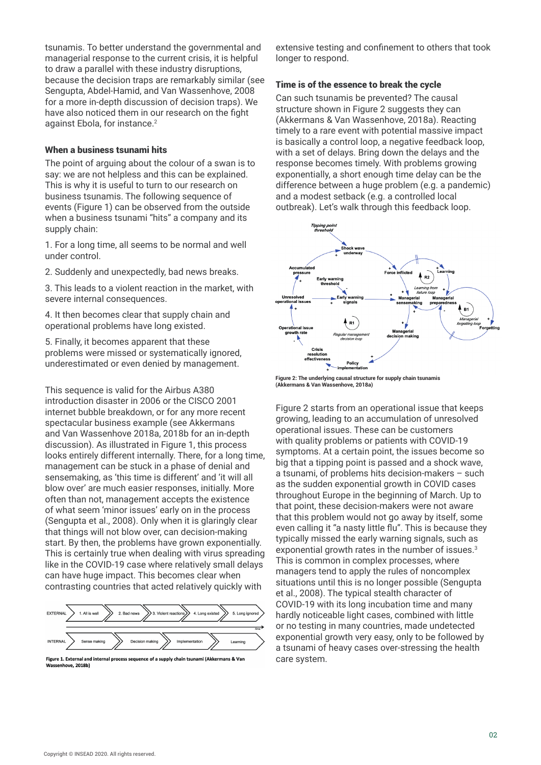tsunamis. To better understand the governmental and managerial response to the current crisis, it is helpful to draw a parallel with these industry disruptions, because the decision traps are remarkably similar (see Sengupta, Abdel-Hamid, and Van Wassenhove, 2008 for a more in-depth discussion of decision traps). We have also noticed them in our research on the fight against Ebola, for instance.<sup>2</sup>

## When a business tsunami hits

The point of arguing about the colour of a swan is to say: we are not helpless and this can be explained. This is why it is useful to turn to our research on business tsunamis. The following sequence of events (Figure 1) can be observed from the outside when a business tsunami "hits" a company and its supply chain:

1. For a long time, all seems to be normal and well under control.

2. Suddenly and unexpectedly, bad news breaks.

3. This leads to a violent reaction in the market, with severe internal consequences.

4. It then becomes clear that supply chain and operational problems have long existed.

5. Finally, it becomes apparent that these problems were missed or systematically ignored, underestimated or even denied by management.

This sequence is valid for the Airbus A380 introduction disaster in 2006 or the CISCO 2001 internet bubble breakdown, or for any more recent spectacular business example (see Akkermans and Van Wassenhove 2018a, 2018b for an in-depth discussion). As illustrated in Figure 1, this process looks entirely different internally. There, for a long time, management can be stuck in a phase of denial and sensemaking, as 'this time is different' and 'it will all blow over' are much easier responses, initially. More often than not, management accepts the existence of what seem 'minor issues' early on in the process (Sengupta et al., 2008). Only when it is glaringly clear that things will not blow over, can decision-making start. By then, the problems have grown exponentially. This is certainly true when dealing with virus spreading like in the COVID-19 case where relatively small delays can have huge impact. This becomes clear when contrasting countries that acted relatively quickly with



Figure 1. External and internal process sequence of a supply chain tsunami (Akkermans & Van Wassenhove, 2018b)

extensive testing and confinement to others that took longer to respond.

## Time is of the essence to break the cycle

Can such tsunamis be prevented? The causal structure shown in Figure 2 suggests they can (Akkermans & Van Wassenhove, 2018a). Reacting timely to a rare event with potential massive impact is basically a control loop, a negative feedback loop, with a set of delays. Bring down the delays and the response becomes timely. With problems growing exponentially, a short enough time delay can be the difference between a huge problem (e.g. a pandemic) and a modest setback (e.g. a controlled local outbreak). Let's walk through this feedback loop.



**Figure 2: The underlying causal structure for supply chain tsunamis (Akkermans & Van Wassenhove, 2018a)**

Figure 2 starts from an operational issue that keeps growing, leading to an accumulation of unresolved operational issues. These can be customers with quality problems or patients with COVID-19 symptoms. At a certain point, the issues become so big that a tipping point is passed and a shock wave, a tsunami, of problems hits decision-makers – such as the sudden exponential growth in COVID cases throughout Europe in the beginning of March. Up to that point, these decision-makers were not aware that this problem would not go away by itself, some even calling it "a nasty little flu". This is because they typically missed the early warning signals, such as exponential growth rates in the number of issues.<sup>3</sup> This is common in complex processes, where managers tend to apply the rules of noncomplex situations until this is no longer possible (Sengupta et al., 2008). The typical stealth character of COVID-19 with its long incubation time and many hardly noticeable light cases, combined with little or no testing in many countries, made undetected exponential growth very easy, only to be followed by a tsunami of heavy cases over-stressing the health care system.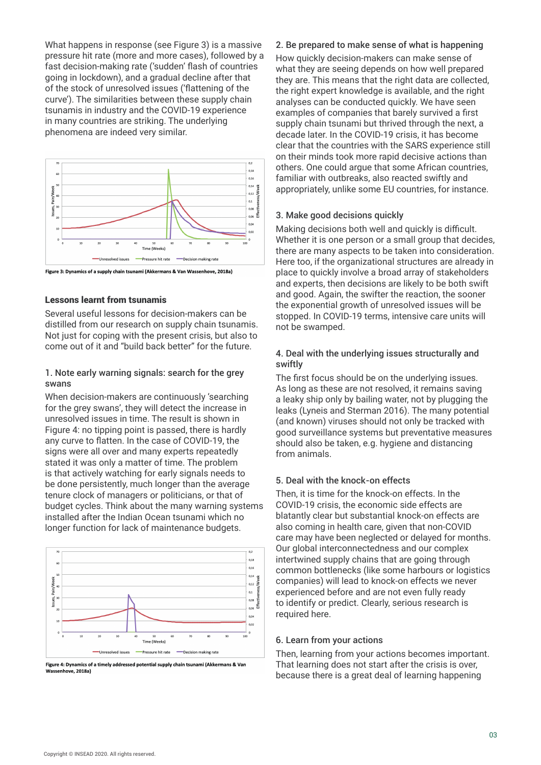What happens in response (see Figure 3) is a massive pressure hit rate (more and more cases), followed by a fast decision-making rate ('sudden' flash of countries going in lockdown), and a gradual decline after that of the stock of unresolved issues ('flattening of the curve'). The similarities between these supply chain tsunamis in industry and the COVID-19 experience in many countries are striking. The underlying phenomena are indeed very similar.



Figure 3: Dynamics of a supply chain tsunami (Akkermans & Van Wassenhove, 2018a)

# Lessons learnt from tsunamis

Several useful lessons for decision-makers can be distilled from our research on supply chain tsunamis. Not just for coping with the present crisis, but also to come out of it and "build back better" for the future.

# 1. Note early warning signals: search for the grey swans

When decision-makers are continuously 'searching for the grey swans', they will detect the increase in unresolved issues in time. The result is shown in Figure 4: no tipping point is passed, there is hardly any curve to flatten. In the case of COVID-19, the signs were all over and many experts repeatedly stated it was only a matter of time. The problem is that actively watching for early signals needs to be done persistently, much longer than the average tenure clock of managers or politicians, or that of budget cycles. Think about the many warning systems installed after the Indian Ocean tsunami which no longer function for lack of maintenance budgets.



Figure 4: Dynamics of a timely addressed potential supply chain tsunami (Akkermans & Van Wassenhove, 2018a)

## 2. Be prepared to make sense of what is happening

How quickly decision-makers can make sense of what they are seeing depends on how well prepared they are. This means that the right data are collected, the right expert knowledge is available, and the right analyses can be conducted quickly. We have seen examples of companies that barely survived a first supply chain tsunami but thrived through the next, a decade later. In the COVID-19 crisis, it has become clear that the countries with the SARS experience still on their minds took more rapid decisive actions than others. One could argue that some African countries, familiar with outbreaks, also reacted swiftly and appropriately, unlike some EU countries, for instance.

#### 3. Make good decisions quickly

Making decisions both well and quickly is difficult. Whether it is one person or a small group that decides, there are many aspects to be taken into consideration. Here too, if the organizational structures are already in place to quickly involve a broad array of stakeholders and experts, then decisions are likely to be both swift and good. Again, the swifter the reaction, the sooner the exponential growth of unresolved issues will be stopped. In COVID-19 terms, intensive care units will not be swamped.

## 4. Deal with the underlying issues structurally and swiftly

The first focus should be on the underlying issues. As long as these are not resolved, it remains saving a leaky ship only by bailing water, not by plugging the leaks (Lyneis and Sterman 2016). The many potential (and known) viruses should not only be tracked with good surveillance systems but preventative measures should also be taken, e.g. hygiene and distancing from animals.

# 5. Deal with the knock-on effects

Then, it is time for the knock-on effects. In the COVID-19 crisis, the economic side effects are blatantly clear but substantial knock-on effects are also coming in health care, given that non-COVID care may have been neglected or delayed for months. Our global interconnectedness and our complex intertwined supply chains that are going through common bottlenecks (like some harbours or logistics companies) will lead to knock-on effects we never experienced before and are not even fully ready to identify or predict. Clearly, serious research is required here.

# 6. Learn from your actions

Then, learning from your actions becomes important. That learning does not start after the crisis is over, because there is a great deal of learning happening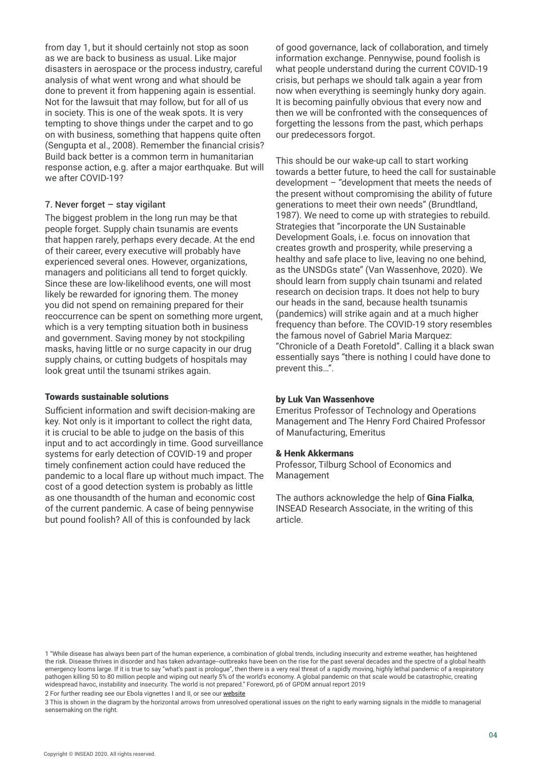from day 1, but it should certainly not stop as soon as we are back to business as usual. Like major disasters in aerospace or the process industry, careful analysis of what went wrong and what should be done to prevent it from happening again is essential. Not for the lawsuit that may follow, but for all of us in society. This is one of the weak spots. It is very tempting to shove things under the carpet and to go on with business, something that happens quite often (Sengupta et al., 2008). Remember the financial crisis? Build back better is a common term in humanitarian response action, e.g. after a major earthquake. But will we after COVID-19?

# 7. Never forget – stay vigilant

The biggest problem in the long run may be that people forget. Supply chain tsunamis are events that happen rarely, perhaps every decade. At the end of their career, every executive will probably have experienced several ones. However, organizations, managers and politicians all tend to forget quickly. Since these are low-likelihood events, one will most likely be rewarded for ignoring them. The money you did not spend on remaining prepared for their reoccurrence can be spent on something more urgent, which is a very tempting situation both in business and government. Saving money by not stockpiling masks, having little or no surge capacity in our drug supply chains, or cutting budgets of hospitals may look great until the tsunami strikes again.

## Towards sustainable solutions

Sufficient information and swift decision-making are key. Not only is it important to collect the right data, it is crucial to be able to judge on the basis of this input and to act accordingly in time. Good surveillance systems for early detection of COVID-19 and proper timely confinement action could have reduced the pandemic to a local flare up without much impact. The cost of a good detection system is probably as little as one thousandth of the human and economic cost of the current pandemic. A case of being pennywise but pound foolish? All of this is confounded by lack

of good governance, lack of collaboration, and timely information exchange. Pennywise, pound foolish is what people understand during the current COVID-19 crisis, but perhaps we should talk again a year from now when everything is seemingly hunky dory again. It is becoming painfully obvious that every now and then we will be confronted with the consequences of forgetting the lessons from the past, which perhaps our predecessors forgot.

This should be our wake-up call to start working towards a better future, to heed the call for sustainable development – "development that meets the needs of the present without compromising the ability of future generations to meet their own needs" (Brundtland, 1987). We need to come up with strategies to rebuild. Strategies that "incorporate the UN Sustainable Development Goals, i.e. focus on innovation that creates growth and prosperity, while preserving a healthy and safe place to live, leaving no one behind, as the UNSDGs state" (Van Wassenhove, 2020). We should learn from supply chain tsunami and related research on decision traps. It does not help to bury our heads in the sand, because health tsunamis (pandemics) will strike again and at a much higher frequency than before. The COVID-19 story resembles the famous novel of Gabriel Maria Marquez: "Chronicle of a Death Foretold". Calling it a black swan essentially says "there is nothing I could have done to prevent this…".

## by Luk Van Wassenhove

Emeritus Professor of Technology and Operations Management and The Henry Ford Chaired Professor of Manufacturing, Emeritus

## & Henk Akkermans

Professor, Tilburg School of Economics and Management

The authors acknowledge the help of **Gina Fialka**, INSEAD Research Associate, in the writing of this article.

2 For further reading see our Ebola vignettes I and II, or see our [website](https://www.insead.edu/centres/humanitarian-research-group)

3 This is shown in the diagram by the horizontal arrows from unresolved operational issues on the right to early warning signals in the middle to managerial sensemaking on the right.

<sup>1 &</sup>quot;While disease has always been part of the human experience, a combination of global trends, including insecurity and extreme weather, has heightened the risk. Disease thrives in disorder and has taken advantage--outbreaks have been on the rise for the past several decades and the spectre of a global health emergency looms large. If it is true to say "what's past is prologue", then there is a very real threat of a rapidly moving, highly lethal pandemic of a respiratory pathogen killing 50 to 80 million people and wiping out nearly 5% of the world's economy. A global pandemic on that scale would be catastrophic, creating widespread havoc, instability and insecurity. The world is not prepared." Foreword, p6 of GPDM annual report 2019